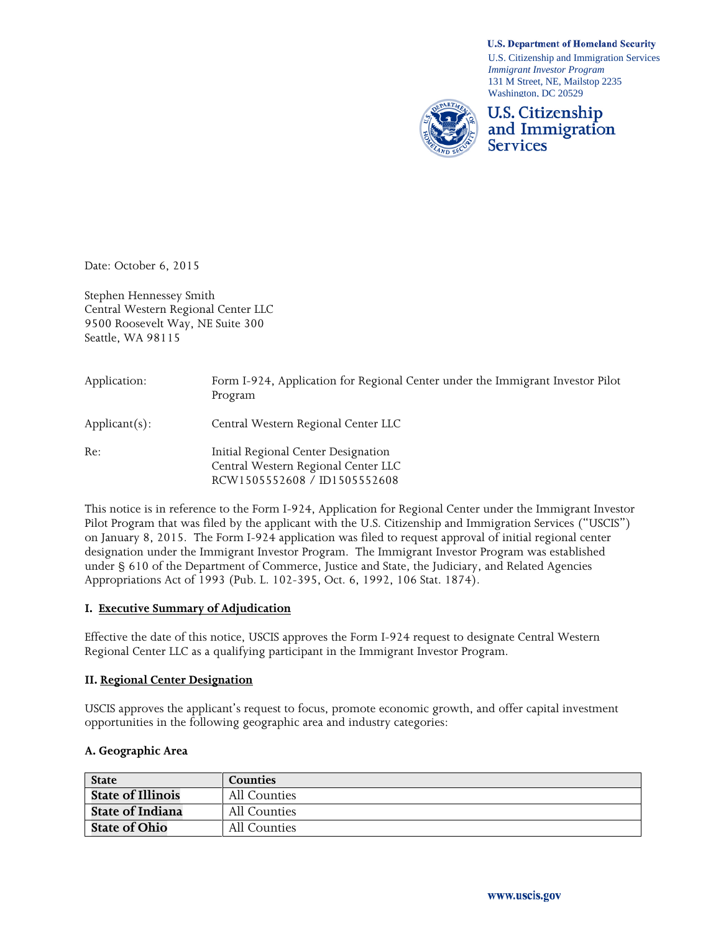U.S. Citizenship and Immigration Services *Immigrant Investor Program* 131 M Street, NE, Mailstop 2235 Washington, DC 20529

**U.S. Department of Homeland Security** 



Date: October 6, 2015

Stephen Hennessey Smith Central Western Regional Center LLC 9500 Roosevelt Way, NE Suite 300 Seattle, WA 98115

| Application:     | Form I-924, Application for Regional Center under the Immigrant Investor Pilot<br>Program                                      |
|------------------|--------------------------------------------------------------------------------------------------------------------------------|
| $Applicant(s)$ : | Central Western Regional Center LLC                                                                                            |
| Re:              | Initial Regional Center Designation<br>Central Western Regional Center LLC<br>RCW1505552608 / ID1505552608                     |
|                  | $\mathbf{1}$ , and $\mathbf{1}$ , and $\mathbf{1}$ , and $\mathbf{1}$ , and $\mathbf{1}$ , and $\mathbf{1}$ , and $\mathbf{1}$ |

This notice is in reference to the Form I-924, Application for Regional Center under the Immigrant Investor Pilot Program that was filed by the applicant with the U.S. Citizenship and Immigration Services ("USCIS") on January 8, 2015. The Form I-924 application was filed to request approval of initial regional center designation under the Immigrant Investor Program. The Immigrant Investor Program was established under § 610 of the Department of Commerce, Justice and State, the Judiciary, and Related Agencies Appropriations Act of 1993 (Pub. L. 102-395, Oct. 6, 1992, 106 Stat. 1874).

## **I. Executive Summary of Adjudication**

Effective the date of this notice, USCIS approves the Form I-924 request to designate Central Western Regional Center LLC as a qualifying participant in the Immigrant Investor Program.

#### **II. Regional Center Designation**

USCIS approves the applicant's request to focus, promote economic growth, and offer capital investment opportunities in the following geographic area and industry categories:

#### **A. Geographic Area**

| <b>State</b>             | <b>Counties</b> |
|--------------------------|-----------------|
| <b>State of Illinois</b> | All Counties    |
| <b>State of Indiana</b>  | All Counties    |
| <b>State of Ohio</b>     | All Counties    |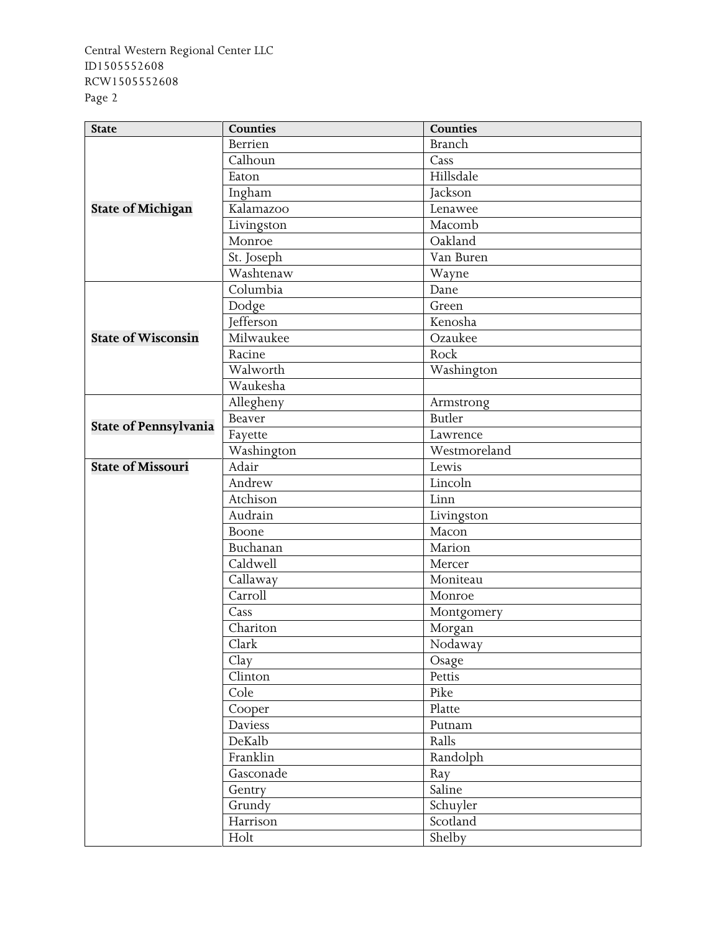| <b>State</b>                 | <b>Counties</b>  | <b>Counties</b> |
|------------------------------|------------------|-----------------|
|                              | <b>Berrien</b>   | <b>Branch</b>   |
|                              | Calhoun          | Cass            |
|                              | Eaton            | Hillsdale       |
|                              | Ingham           | Jackson         |
| <b>State of Michigan</b>     | Kalamazoo        | Lenawee         |
|                              | Livingston       | Macomb          |
|                              | Monroe           | Oakland         |
|                              | St. Joseph       | Van Buren       |
|                              | Washtenaw        | Wayne           |
|                              | Columbia         | Dane            |
|                              | Dodge            | Green           |
|                              | <b>Jefferson</b> | Kenosha         |
| <b>State of Wisconsin</b>    | Milwaukee        | Ozaukee         |
|                              | Racine           | Rock            |
|                              | Walworth         | Washington      |
|                              | Waukesha         |                 |
|                              | Allegheny        | Armstrong       |
|                              | Beaver           | <b>Butler</b>   |
| <b>State of Pennsylvania</b> | Fayette          | Lawrence        |
|                              | Washington       | Westmoreland    |
| <b>State of Missouri</b>     | Adair            | Lewis           |
|                              | Andrew           | Lincoln         |
|                              | Atchison         | Linn            |
|                              | Audrain          | Livingston      |
|                              | Boone            | Macon           |
|                              | Buchanan         | Marion          |
|                              | Caldwell         | Mercer          |
|                              | Callaway         | Moniteau        |
|                              | Carroll          | Monroe          |
|                              | Cass             | Montgomery      |
|                              | Chariton         | Morgan          |
|                              | Clark            | Nodaway         |
|                              | Clay             | Osage           |
|                              | Clinton          | Pettis          |
|                              | Cole             | Pike            |
|                              | Cooper           | Platte          |
|                              | Daviess          | Putnam          |
|                              | DeKalb           | Ralls           |
|                              | Franklin         | Randolph        |
|                              | Gasconade        | Ray             |
|                              | Gentry           | Saline          |
|                              | Grundy           | Schuyler        |
|                              | Harrison         | Scotland        |
|                              | Holt             | Shelby          |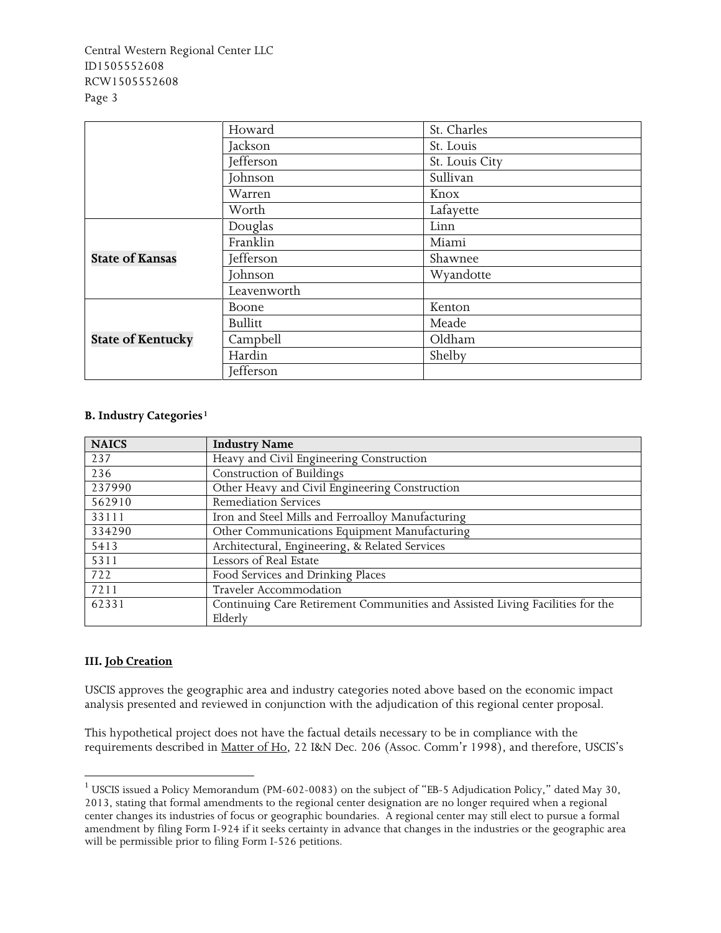|                          | Howard         | St. Charles    |
|--------------------------|----------------|----------------|
|                          | Jackson        | St. Louis      |
|                          | Jefferson      | St. Louis City |
|                          | Johnson        | Sullivan       |
|                          | Warren         | Knox           |
|                          | Worth          | Lafayette      |
|                          | Douglas        | Linn           |
|                          | Franklin       | Miami          |
| <b>State of Kansas</b>   | Jefferson      | Shawnee        |
|                          | Johnson        | Wyandotte      |
|                          | Leavenworth    |                |
|                          | Boone          | Kenton         |
|                          | <b>Bullitt</b> | Meade          |
| <b>State of Kentucky</b> | Campbell       | Oldham         |
|                          | Hardin         | Shelby         |
|                          | Jefferson      |                |

## **B. Industry Categories[1](#page-2-0)**

| <b>NAICS</b> | <b>Industry Name</b>                                                          |  |
|--------------|-------------------------------------------------------------------------------|--|
| 237          | Heavy and Civil Engineering Construction                                      |  |
| 236          | Construction of Buildings                                                     |  |
| 237990       | Other Heavy and Civil Engineering Construction                                |  |
| 562910       | <b>Remediation Services</b>                                                   |  |
| 33111        | Iron and Steel Mills and Ferroalloy Manufacturing                             |  |
| 334290       | Other Communications Equipment Manufacturing                                  |  |
| 5413         | Architectural, Engineering, & Related Services                                |  |
| 5311         | Lessors of Real Estate                                                        |  |
| 722          | Food Services and Drinking Places                                             |  |
| 7211         | Traveler Accommodation                                                        |  |
| 62331        | Continuing Care Retirement Communities and Assisted Living Facilities for the |  |
|              | Elderly                                                                       |  |

## **III. Job Creation**

USCIS approves the geographic area and industry categories noted above based on the economic impact analysis presented and reviewed in conjunction with the adjudication of this regional center proposal.

This hypothetical project does not have the factual details necessary to be in compliance with the requirements described in Matter of Ho, 22 I&N Dec. 206 (Assoc. Comm'r 1998), and therefore, USCIS's

<span id="page-2-0"></span><sup>&</sup>lt;sup>1</sup> USCIS issued a Policy Memorandum (PM-602-0083) on the subject of "EB-5 Adjudication Policy," dated May 30, 2013, stating that formal amendments to the regional center designation are no longer required when a regional center changes its industries of focus or geographic boundaries. A regional center may still elect to pursue a formal amendment by filing Form I-924 if it seeks certainty in advance that changes in the industries or the geographic area will be permissible prior to filing Form I-526 petitions.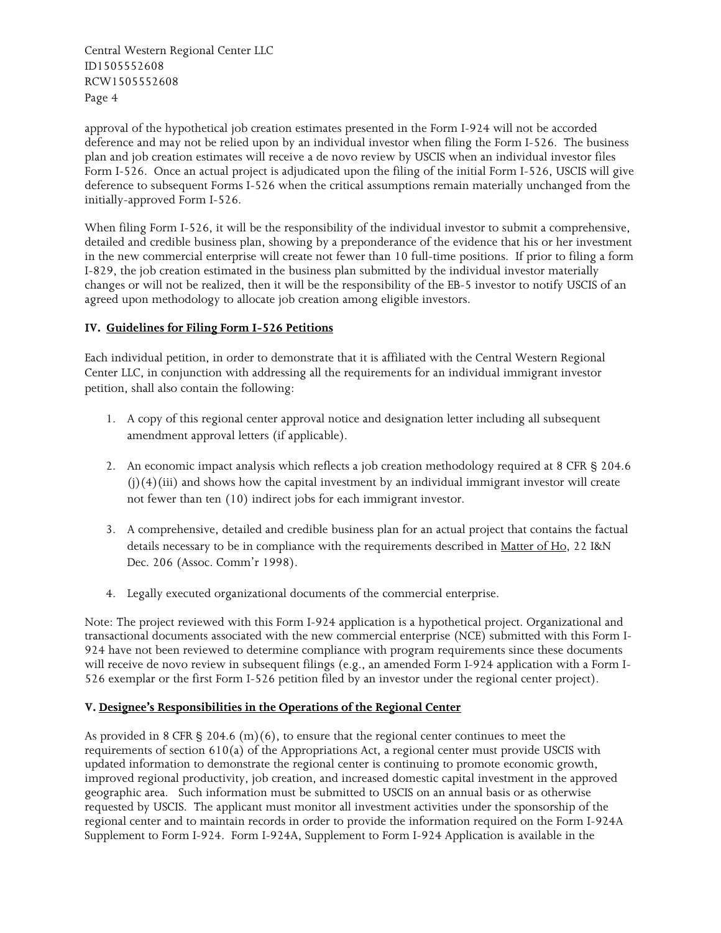approval of the hypothetical job creation estimates presented in the Form I-924 will not be accorded deference and may not be relied upon by an individual investor when filing the Form I-526. The business plan and job creation estimates will receive a de novo review by USCIS when an individual investor files Form I-526. Once an actual project is adjudicated upon the filing of the initial Form I-526, USCIS will give deference to subsequent Forms I-526 when the critical assumptions remain materially unchanged from the initially-approved Form I-526.

When filing Form I-526, it will be the responsibility of the individual investor to submit a comprehensive, detailed and credible business plan, showing by a preponderance of the evidence that his or her investment in the new commercial enterprise will create not fewer than 10 full-time positions. If prior to filing a form I-829, the job creation estimated in the business plan submitted by the individual investor materially changes or will not be realized, then it will be the responsibility of the EB-5 investor to notify USCIS of an agreed upon methodology to allocate job creation among eligible investors.

# **IV. Guidelines for Filing Form I-526 Petitions**

Each individual petition, in order to demonstrate that it is affiliated with the Central Western Regional Center LLC, in conjunction with addressing all the requirements for an individual immigrant investor petition, shall also contain the following:

- 1. A copy of this regional center approval notice and designation letter including all subsequent amendment approval letters (if applicable).
- 2. An economic impact analysis which reflects a job creation methodology required at 8 CFR § 204.6  $(i)(4)(iii)$  and shows how the capital investment by an individual immigrant investor will create not fewer than ten (10) indirect jobs for each immigrant investor.
- 3. A comprehensive, detailed and credible business plan for an actual project that contains the factual details necessary to be in compliance with the requirements described in Matter of Ho, 22 I&N Dec. 206 (Assoc. Comm'r 1998).
- 4. Legally executed organizational documents of the commercial enterprise.

Note: The project reviewed with this Form I-924 application is a hypothetical project. Organizational and transactional documents associated with the new commercial enterprise (NCE) submitted with this Form I-924 have not been reviewed to determine compliance with program requirements since these documents will receive de novo review in subsequent filings (e.g., an amended Form I-924 application with a Form I-526 exemplar or the first Form I-526 petition filed by an investor under the regional center project).

## **V. Designee's Responsibilities in the Operations of the Regional Center**

As provided in 8 CFR § 204.6 (m)(6), to ensure that the regional center continues to meet the requirements of section 610(a) of the Appropriations Act, a regional center must provide USCIS with updated information to demonstrate the regional center is continuing to promote economic growth, improved regional productivity, job creation, and increased domestic capital investment in the approved geographic area. Such information must be submitted to USCIS on an annual basis or as otherwise requested by USCIS. The applicant must monitor all investment activities under the sponsorship of the regional center and to maintain records in order to provide the information required on the Form I-924A Supplement to Form I-924. Form I-924A, Supplement to Form I-924 Application is available in the